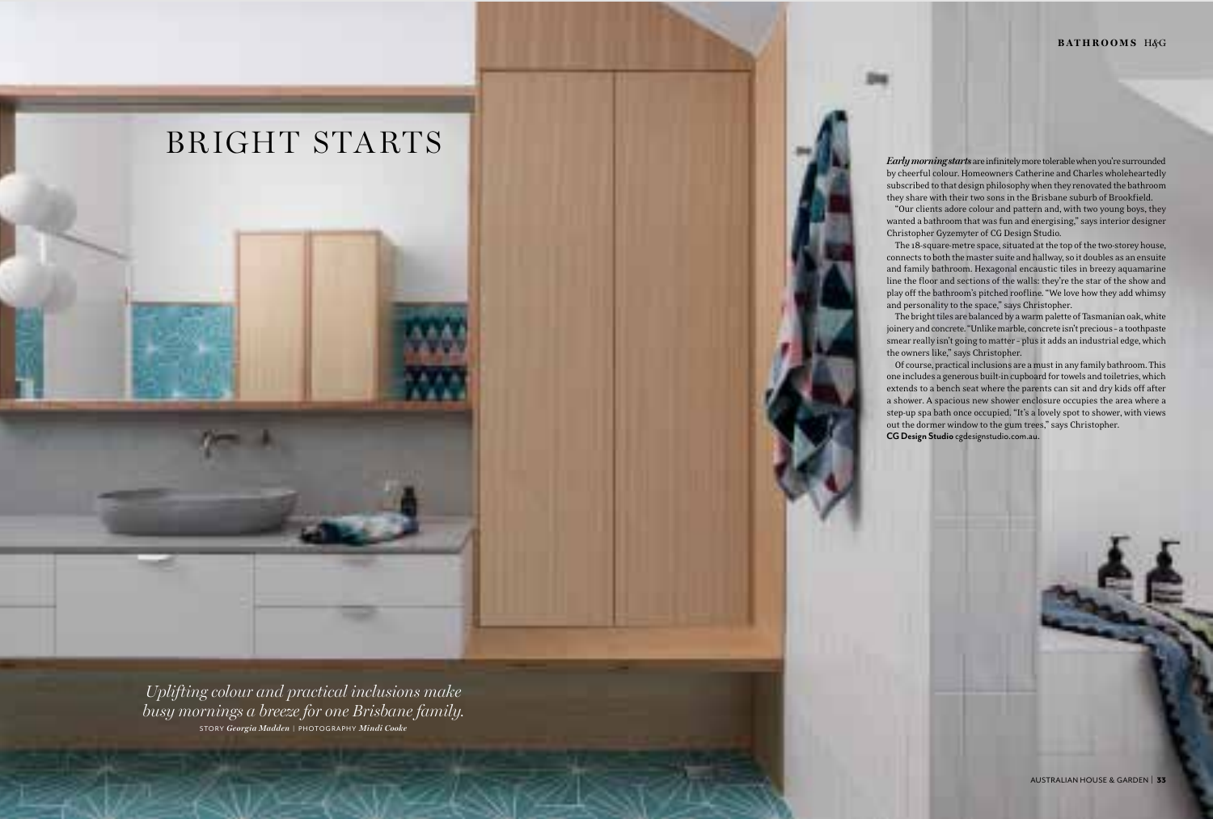#### **bathrooms**<sup>H</sup>*^*<sup>G</sup>

AUSTRALIAN HOUSE & GARDEN | 33

*Early morning starts* are infinitely more tolerable when you're surrounded by cheerful colour. Homeowners Catherine and Charles wholeheartedly subscribed to that design philosophy when they renovated the bathroom they share with their two sons in the Brisbane suburb of Brookfield.

"Our clients adore colour and pattern and, with two young boys, they wanted a bathroom that was fun and energising," says interior designer Christopher Gyzemyter of CG Design Studio.

The 18-square-metre space, situated at the top of the two-storey house, connects to both the master suite and hallway, so it doubles as an ensuite and family bathroom. Hexagonal encaustic tiles in breezy aquamarine line the floor and sections of the walls: they're the star of the show and play off the bathroom's pitched roofline. "We love how they add whimsy and personality to the space," says Christopher.

The bright tiles are balanced by a warm palette of Tasmanian oak, white joinery and concrete. "Unlike marble, concrete isn't precious – a toothpaste smear really isn't going to matter – plus it adds an industrial edge, which the owners like," says Christopher.

Of course, practical inclusions are a must in any family bathroom. This one includes a generous built-in cupboard for towels and toiletries, which extends to a bench seat where the parents can sit and dry kids off after a shower. A spacious new shower enclosure occupies the area where a step-up spa bath once occupied. "It's a lovely spot to shower, with views out the dormer window to the gum trees," says Christopher. **CG Design Studio** cgdesignstudio.com.au.

*Uplifting colour and practical inclusions make busy mornings a breeze for one Brisbane family.*  STORY *Georgia Madden* | PHOTOGRAPHY *Mindi Cooke*

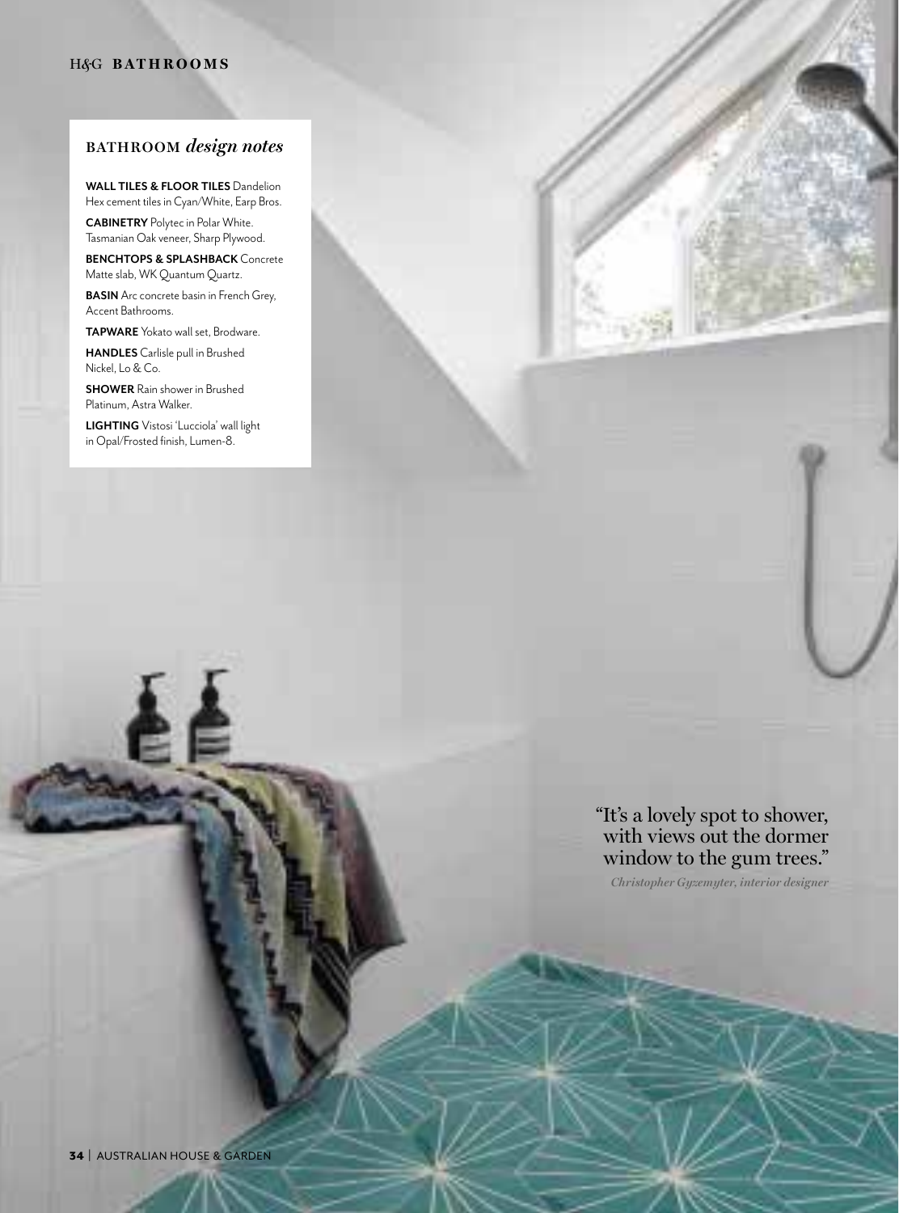### H*^*G **bathrooms**

# **BATHROOM** *design notes*

**WALL TILES & FLOOR TILES** Dandelion Hex cement tiles in Cyan/White, Earp Bros.

**CABINETRY** Polytec in Polar White. Tasmanian Oak veneer, Sharp Plywood.

**BENCHTOPS & SPLASHBACK** Concrete Matte slab, WK Quantum Quartz.

**BASIN** Arc concrete basin in French Grey, Accent Bathrooms.

**TAPWARE** Yokato wall set, Brodware.

**HANDLES** Carlisle pull in Brushed Nickel, Lo & Co.

**SHOWER** Rain shower in Brushed Platinum, Astra Walker.

**LIGHTING** Vistosi 'Lucciola' wall light in Opal/Frosted finish, Lumen-8.

# "It's a lovely spot to shower, with views out the dormer window to the gum trees."

*Christopher Gyzemyter, interior designer*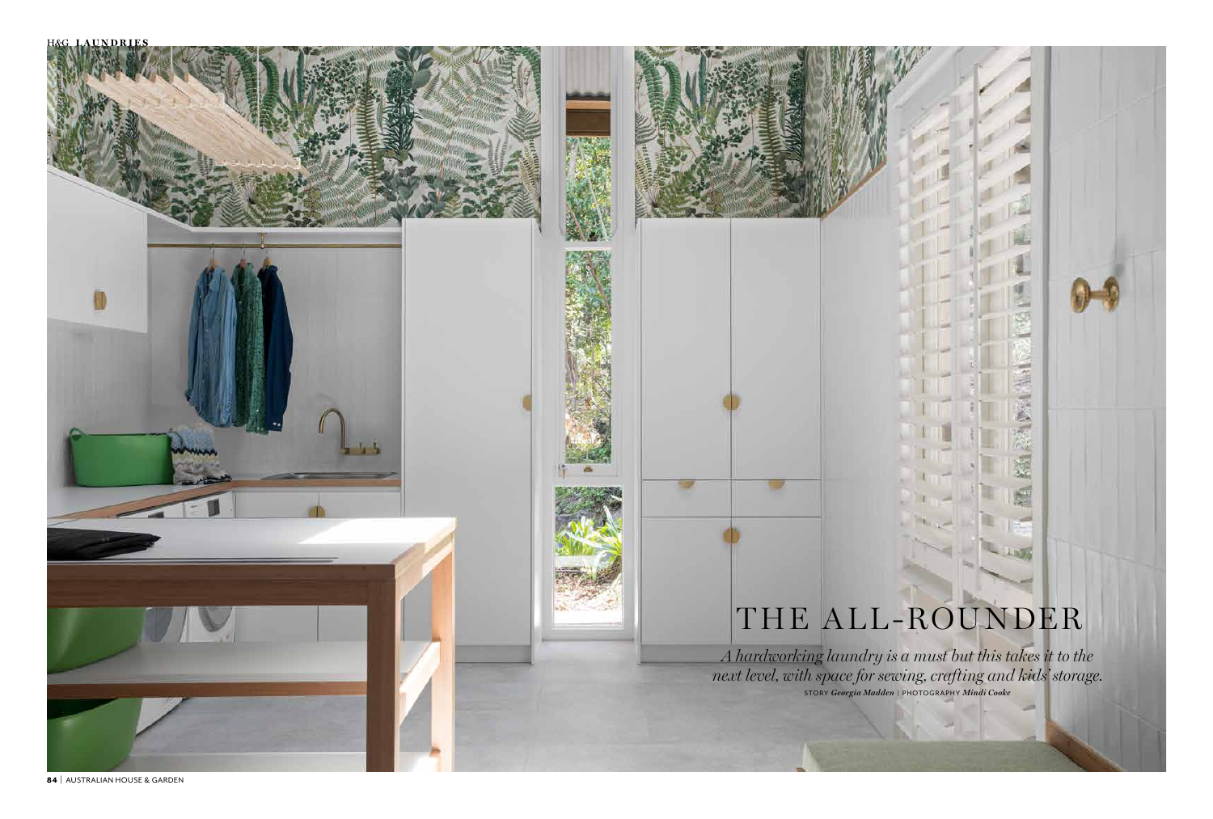H*^*G **laundries**



84 | AUSTRALIAN HOUSE & GARDEN

*A hardworking laundry is a must but this takes it to the next level, with space for sewing, crafting and kids' storage.*  STORY *Georgia Madden* | PHOTOGRAPHY *Mindi Cooke*

# THE ALL-ROUNDER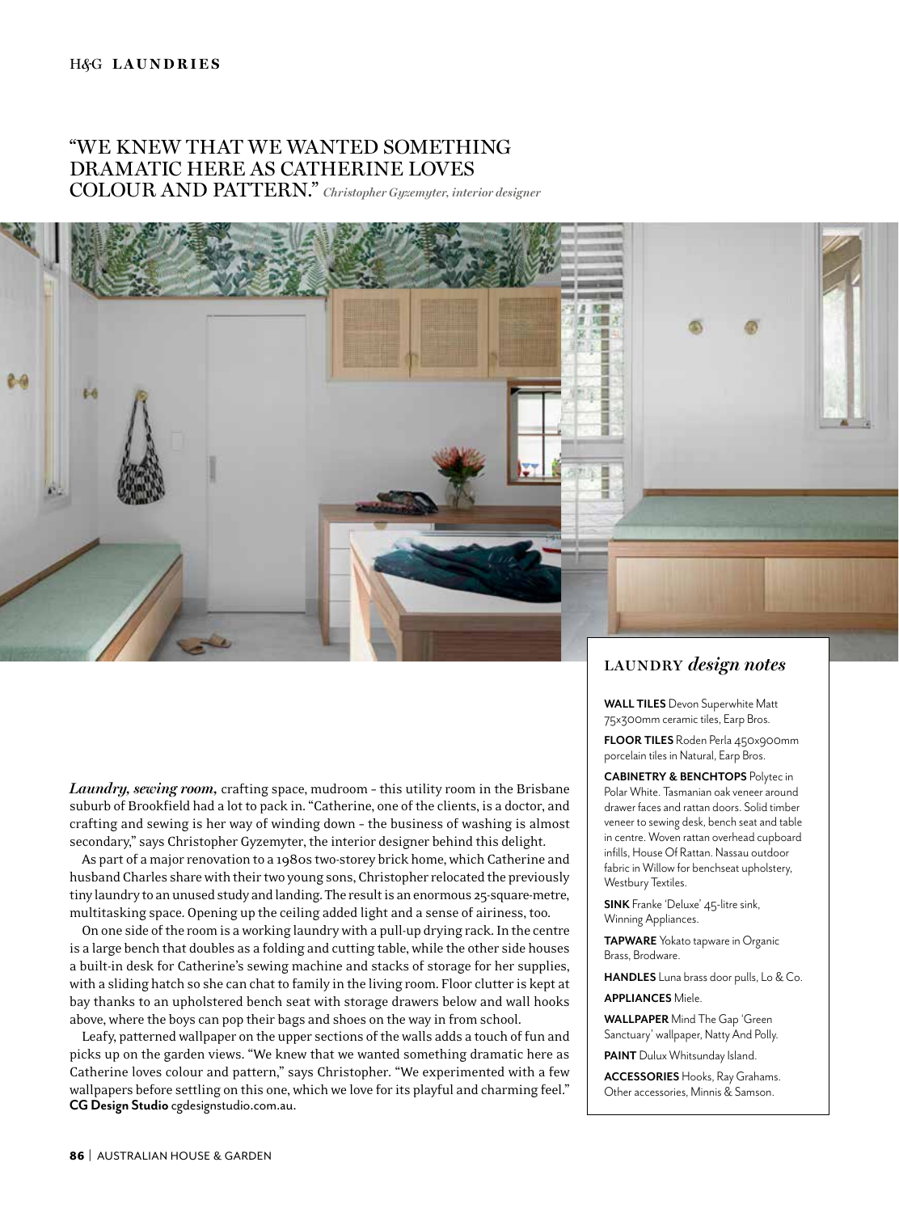## "WE KNEW THAT WE WANTED SOMETHING DRAMATIC HERE AS CATHERINE LOVES COLOUR AND PATTERN." *Christopher Gyzemyter, interior designer*



*Laundry, sewing room,* crafting space, mudroom – this utility room in the Brisbane suburb of Brookfield had a lot to pack in. "Catherine, one of the clients, is a doctor, and crafting and sewing is her way of winding down – the business of washing is almost secondary," says Christopher Gyzemyter, the interior designer behind this delight.

As part of a major renovation to a 1980s two-storey brick home, which Catherine and husband Charles share with their two young sons, Christopher relocated the previously tiny laundry to an unused study and landing. The result is an enormous 25-square-metre, multitasking space. Opening up the ceiling added light and a sense of airiness, too.

On one side of the room is a working laundry with a pull-up drying rack. In the centre is a large bench that doubles as a folding and cutting table, while the other side houses a built-in desk for Catherine's sewing machine and stacks of storage for her supplies, with a sliding hatch so she can chat to family in the living room. Floor clutter is kept at bay thanks to an upholstered bench seat with storage drawers below and wall hooks above, where the boys can pop their bags and shoes on the way in from school.

Leafy, patterned wallpaper on the upper sections of the walls adds a touch of fun and picks up on the garden views. "We knew that we wanted something dramatic here as Catherine loves colour and pattern," says Christopher. "We experimented with a few wallpapers before settling on this one, which we love for its playful and charming feel." **CG Design Studio** cgdesignstudio.com.au.

### **LAUNDRY** *design notes*

**WALL TILES** Devon Superwhite Matt 75x300mm ceramic tiles, Earp Bros.

**FLOOR TILES** Roden Perla 450x900mm porcelain tiles in Natural, Earp Bros.

**CABINETRY & BENCHTOPS** Polytec in Polar White. Tasmanian oak veneer around drawer faces and rattan doors. Solid timber veneer to sewing desk, bench seat and table in centre. Woven rattan overhead cupboard infills, House Of Rattan. Nassau outdoor fabric in Willow for benchseat upholstery, Westbury Textiles.

**SINK** Franke 'Deluxe' 45-litre sink, Winning Appliances.

**TAPWARE** Yokato tapware in Organic Brass, Brodware.

**HANDLES** Luna brass door pulls, Lo & Co.

#### **APPLIANCES** Miele.

**WALLPAPER** Mind The Gap 'Green Sanctuary' wallpaper, Natty And Polly. **PAINT** Dulux Whitsunday Island.

**ACCESSORIES** Hooks, Ray Grahams. Other accessories, Minnis & Samson.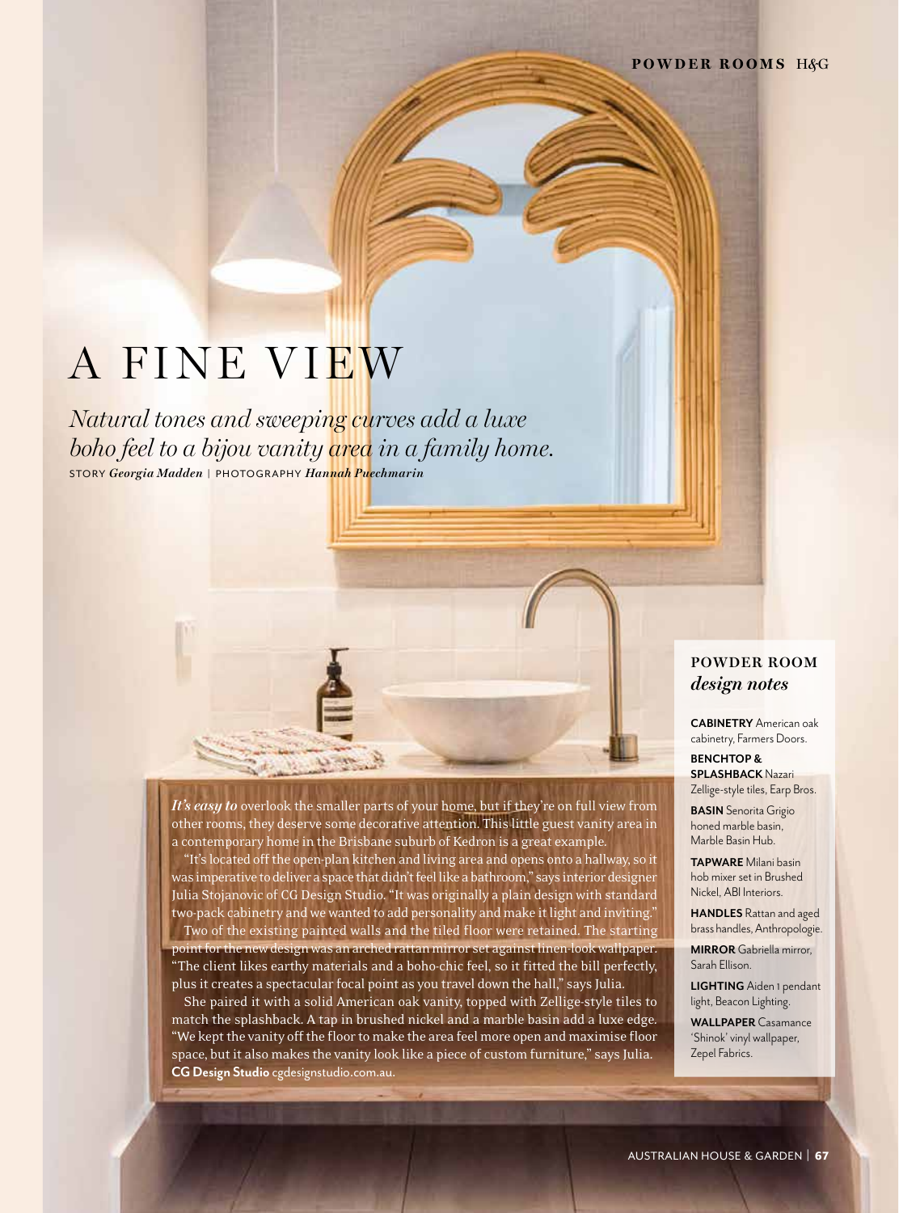# A FINE VIEW

*Natural tones and sweeping curves add a luxe boho feel to a bijou vanity area in a family home.* STORY *Georgia Madden* | PHOTOGRAPHY *Hannah Puechmarin*

# **POWDER ROOM**  *design notes*

**CABINETRY** American oak cabinetry, Farmers Doors.

**BENCHTOP & SPLASHBACK** Nazari Zellige-style tiles, Earp Bros. **BASIN** Senorita Grigio honed marble basin, Marble Basin Hub.

**TAPWARE** Milani basin hob mixer set in Brushed Nickel, ABI Interiors.

**HANDLES** Rattan and aged brass handles, Anthropologie.

**MIRROR** Gabriella mirror, Sarah Ellison.

**LIGHTING** Aiden 1 pendant light, Beacon Lighting.

**WALLPAPER** Casamance 'Shinok' vinyl wallpaper, Zepel Fabrics.

*It's easy to* overlook the smaller parts of your home, but if they're on full view from other rooms, they deserve some decorative attention. This little guest vanity area in a contemporary home in the Brisbane suburb of Kedron is a great example.

"It's located off the open-plan kitchen and living area and opens onto a hallway, so it was imperative to deliver a space that didn't feel like a bathroom," says interior designer Julia Stojanovic of CG Design Studio. "It was originally a plain design with standard two-pack cabinetry and we wanted to add personality and make it light and inviting."

Two of the existing painted walls and the tiled floor were retained. The starting point for the new design was an arched rattan mirror set against linen-look wallpaper. "The client likes earthy materials and a boho-chic feel, so it fitted the bill perfectly, plus it creates a spectacular focal point as you travel down the hall," says Julia.

She paired it with a solid American oak vanity, topped with Zellige-style tiles to match the splashback. A tap in brushed nickel and a marble basin add a luxe edge. "We kept the vanity off the floor to make the area feel more open and maximise floor space, but it also makes the vanity look like a piece of custom furniture," says Julia. **CG Design Studio** cgdesignstudio.com.au.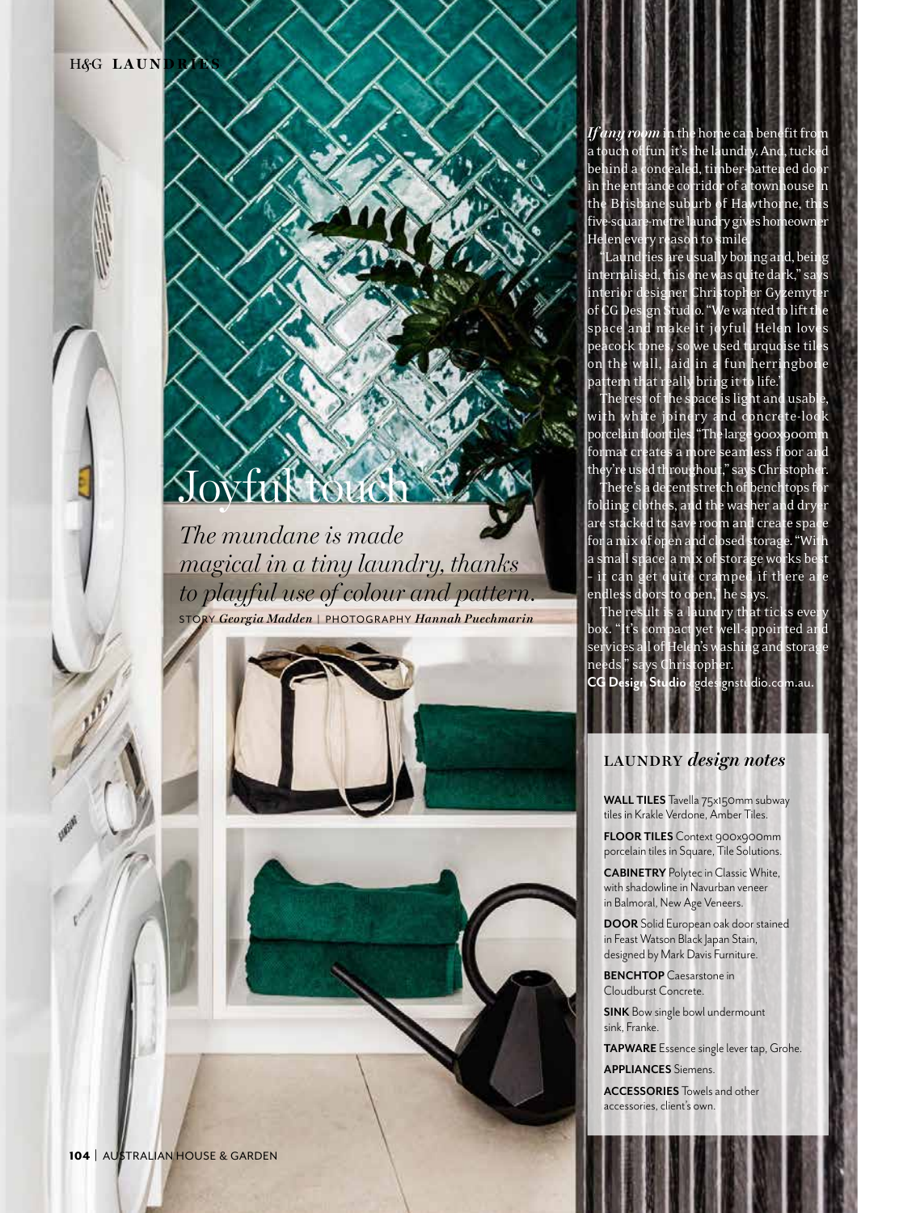H&<sup>G</sup> LAUN

# *The mundane is made magical in a tiny laundry, thanks*  Joyfar touch

*to playful use of colour and pattern.* STORY *Georgia Madden* | PHOTOGRAPHY *Hannah Puechmarin*



104 | AUSTRALIAN HOUSE & GARDEN

*If any room* in the home can benefit from a touch of fun, it's the laundry. And, tucked behind a concealed, timber-battened door in the entrance corridor of a townhouse in the Brisbane suburb of Hawthorne, this five-square-metre laundry gives homeowner

Helen every reason to smile. are usually boring and, beir internalised, this one was quite dark," sa $\;$ interior designer Christopher Gyzemyt  $\operatorname{\mathsf{CG}}$  Design Studio. "We wanted to lift th space and make it joyful. Helen lov<br>neacork tones, so we used turquoise til rcock tones, so we used turquoise til on the wall, laid in a fun herringbor tern that really bring it to life.

rest of the space is light and usab th white joinery and concrete-loo rcelain floor tiles. "The large 900x900m  $\overline{\mathrm{m}}$ at creates a more seamless floor an they're used throughout," says Christophe There's a decent stretch of benchtops f folding clothes, and the washer and dry are stacked to save room and create spa for a mix of open and closed storage. "Wi mall space, a mix of storage works be can get quite cramped if there a endless doors to open," he says.

The  $\operatorname{result}$  is a laundry that ticks ever box. "It's compact yet well-appointed and services all of Helen's washing and storage needs," says Christopher. **CG Design Studio** cgdesignstudio.com.au.

# **LAUNDRY** *design notes*

**WALL TILES** Tavella 75x150mm subway tiles in Krakle Verdone, Amber Tiles.

**FLOOR TILES** Context 900x900mm porcelain tiles in Square, Tile Solutions.

**CABINETRY** Polytec in Classic White, with shadowline in Navurban veneer in Balmoral, New Age Veneers.

**DOOR** Solid European oak door stained in Feast Watson Black Japan Stain, designed by Mark Davis Furniture.

**BENCHTOP** Caesarstone in Cloudburst Concrete.

**SINK** Bow single bowl undermount sink, Franke.

**TAPWARE** Essence single lever tap, Grohe.

**APPLIANCES** Siemens.

**ACCESSORIES** Towels and other accessories, client's own.